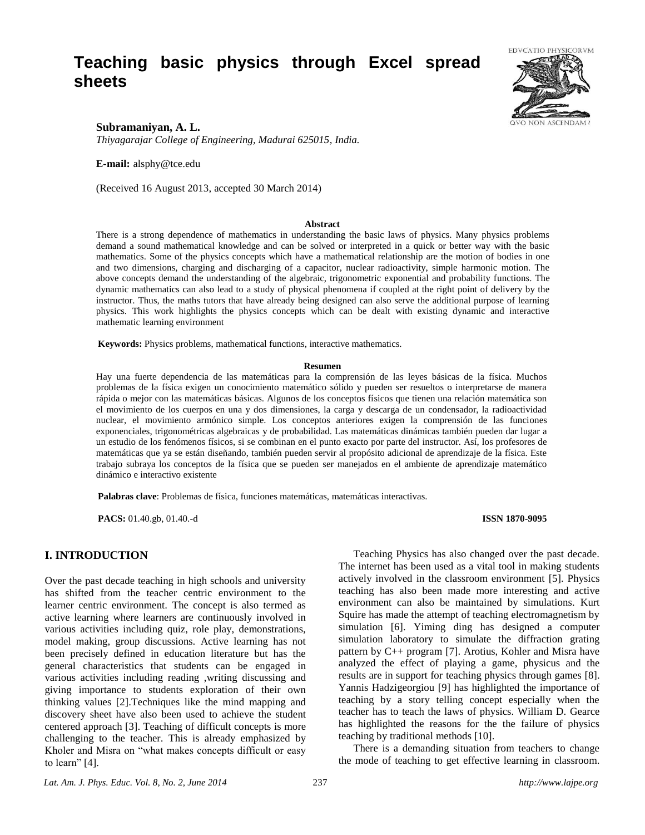# **Teaching basic physics through Excel spread sheets**



# **Subramaniyan, A. L.**

*Thiyagarajar College of Engineering, Madurai 625015, India.*

**E-mail:** alsphy@tce.edu

(Received 16 August 2013, accepted 30 March 2014)

#### **Abstract**

There is a strong dependence of mathematics in understanding the basic laws of physics. Many physics problems demand a sound mathematical knowledge and can be solved or interpreted in a quick or better way with the basic mathematics. Some of the physics concepts which have a mathematical relationship are the motion of bodies in one and two dimensions, charging and discharging of a capacitor, nuclear radioactivity, simple harmonic motion. The above concepts demand the understanding of the algebraic, trigonometric exponential and probability functions. The dynamic mathematics can also lead to a study of physical phenomena if coupled at the right point of delivery by the instructor. Thus, the maths tutors that have already being designed can also serve the additional purpose of learning physics. This work highlights the physics concepts which can be dealt with existing dynamic and interactive mathematic learning environment

**Keywords:** Physics problems, mathematical functions, interactive mathematics.

#### **Resumen**

Hay una fuerte dependencia de las matemáticas para la comprensión de las leyes básicas de la física. Muchos problemas de la física exigen un conocimiento matemático sólido y pueden ser resueltos o interpretarse de manera rápida o mejor con las matemáticas básicas. Algunos de los conceptos físicos que tienen una relación matemática son el movimiento de los cuerpos en una y dos dimensiones, la carga y descarga de un condensador, la radioactividad nuclear, el movimiento armónico simple. Los conceptos anteriores exigen la comprensión de las funciones exponenciales, trigonométricas algebraicas y de probabilidad. Las matemáticas dinámicas también pueden dar lugar a un estudio de los fenómenos físicos, si se combinan en el punto exacto por parte del instructor. Así, los profesores de matemáticas que ya se están diseñando, también pueden servir al propósito adicional de aprendizaje de la física. Este trabajo subraya los conceptos de la física que se pueden ser manejados en el ambiente de aprendizaje matemático dinámico e interactivo existente

**Palabras clave**: Problemas de física, funciones matemáticas, matemáticas interactivas.

**PACS:** 01.40.gb, 01.40.-d **ISSN 1870-9095**

### **I. INTRODUCTION**

Over the past decade teaching in high schools and university has shifted from the teacher centric environment to the learner centric environment. The concept is also termed as active learning where learners are continuously involved in various activities including quiz, role play, demonstrations, model making, group discussions. Active learning has not been precisely defined in education literature but has the general characteristics that students can be engaged in various activities including reading ,writing discussing and giving importance to students exploration of their own thinking values [2].Techniques like the mind mapping and discovery sheet have also been used to achieve the student centered approach [3]. Teaching of difficult concepts is more challenging to the teacher. This is already emphasized by Kholer and Misra on "what makes concepts difficult or easy to learn" [4].

Teaching Physics has also changed over the past decade. The internet has been used as a vital tool in making students actively involved in the classroom environment [5]. Physics teaching has also been made more interesting and active environment can also be maintained by simulations. Kurt Squire has made the attempt of teaching electromagnetism by simulation [6]. Yiming ding has designed a computer simulation laboratory to simulate the diffraction grating pattern by C++ program [7]. Arotius, Kohler and Misra have analyzed the effect of playing a game, physicus and the results are in support for teaching physics through games [8]. Yannis Hadzigeorgiou [9] has highlighted the importance of teaching by a story telling concept especially when the teacher has to teach the laws of physics. William D. Gearce has highlighted the reasons for the the failure of physics teaching by traditional methods [10].

There is a demanding situation from teachers to change the mode of teaching to get effective learning in classroom.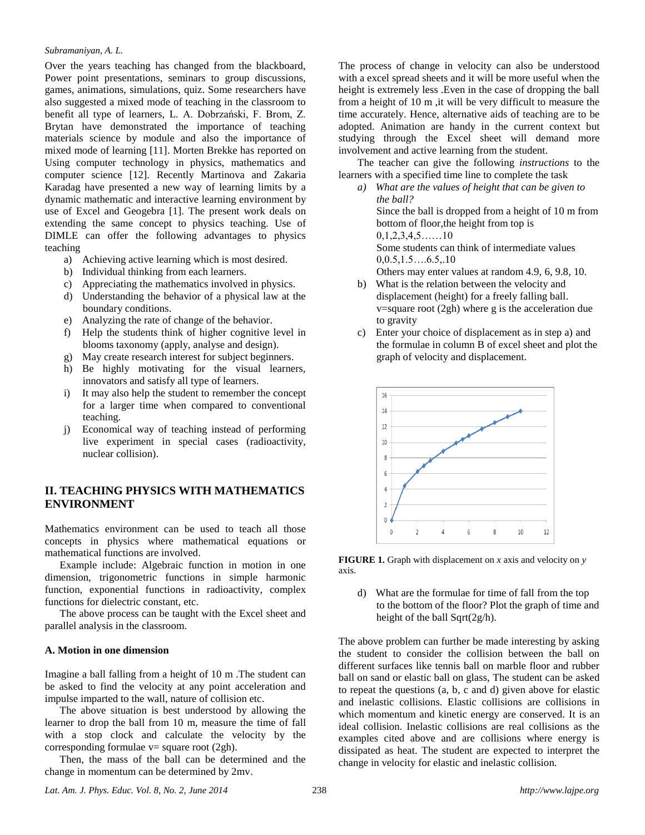#### *Subramaniyan, A. L.*

Over the years teaching has changed from the blackboard, Power point presentations, seminars to group discussions, games, animations, simulations, quiz. Some researchers have also suggested a mixed mode of teaching in the classroom to benefit all type of learners, L. A. Dobrzański, F. Brom, Z. Brytan have demonstrated the importance of teaching materials science by module and also the importance of mixed mode of learning [11]. Morten Brekke has reported on Using computer technology in physics, mathematics and computer science [12]. Recently Martinova and Zakaria Karadag have presented a new way of learning limits by a dynamic mathematic and interactive learning environment by use of Excel and Geogebra [1]. The present work deals on extending the same concept to physics teaching. Use of DIMLE can offer the following advantages to physics teaching

- a) Achieving active learning which is most desired.
- b) Individual thinking from each learners.
- c) Appreciating the mathematics involved in physics.
- d) Understanding the behavior of a physical law at the boundary conditions.
- e) Analyzing the rate of change of the behavior.
- f) Help the students think of higher cognitive level in blooms taxonomy (apply, analyse and design).
- g) May create research interest for subject beginners.
- h) Be highly motivating for the visual learners, innovators and satisfy all type of learners.
- i) It may also help the student to remember the concept for a larger time when compared to conventional teaching.
- j) Economical way of teaching instead of performing live experiment in special cases (radioactivity, nuclear collision).

# **II. TEACHING PHYSICS WITH MATHEMATICS ENVIRONMENT**

Mathematics environment can be used to teach all those concepts in physics where mathematical equations or mathematical functions are involved.

Example include: Algebraic function in motion in one dimension, trigonometric functions in simple harmonic function, exponential functions in radioactivity, complex functions for dielectric constant, etc.

The above process can be taught with the Excel sheet and parallel analysis in the classroom.

#### **A. Motion in one dimension**

Imagine a ball falling from a height of 10 m .The student can be asked to find the velocity at any point acceleration and impulse imparted to the wall, nature of collision etc.

The above situation is best understood by allowing the learner to drop the ball from 10 m, measure the time of fall with a stop clock and calculate the velocity by the corresponding formulae  $v=$  square root (2gh).

Then, the mass of the ball can be determined and the change in momentum can be determined by 2mv.

The process of change in velocity can also be understood with a excel spread sheets and it will be more useful when the height is extremely less . Even in the case of dropping the ball from a height of 10 m ,it will be very difficult to measure the time accurately. Hence, alternative aids of teaching are to be adopted. Animation are handy in the current context but studying through the Excel sheet will demand more involvement and active learning from the student.

The teacher can give the following *instructions* to the learners with a specified time line to complete the task

*a) What are the values of height that can be given to the ball?* Since the ball is dropped from a height of 10 m from bottom of floor,the height from top is 0,1,2,3,4,5……10 Some students can think of intermediate values  $0.0.5, 1.5, \ldots, 6.5, .10$ Others may enter values at random 4.9, 6, 9.8, 10.

- b) What is the relation between the velocity and displacement (height) for a freely falling ball.  $v=$ square root (2gh) where g is the acceleration due to gravity
- c) Enter your choice of displacement as in step a) and the formulae in column B of excel sheet and plot the graph of velocity and displacement.



**FIGURE 1.** Graph with displacement on *x* axis and velocity on *y* axis.

d) What are the formulae for time of fall from the top to the bottom of the floor? Plot the graph of time and height of the ball Sqrt(2g/h).

The above problem can further be made interesting by asking the student to consider the collision between the ball on different surfaces like tennis ball on marble floor and rubber ball on sand or elastic ball on glass, The student can be asked to repeat the questions (a, b, c and d) given above for elastic and inelastic collisions. Elastic collisions are collisions in which momentum and kinetic energy are conserved. It is an ideal collision. Inelastic collisions are real collisions as the examples cited above and are collisions where energy is dissipated as heat. The student are expected to interpret the change in velocity for elastic and inelastic collision.

*Lat. Am. J. Phys. Educ. Vol. 8, No. 2, June 2014* 238 *http://www.lajpe.org*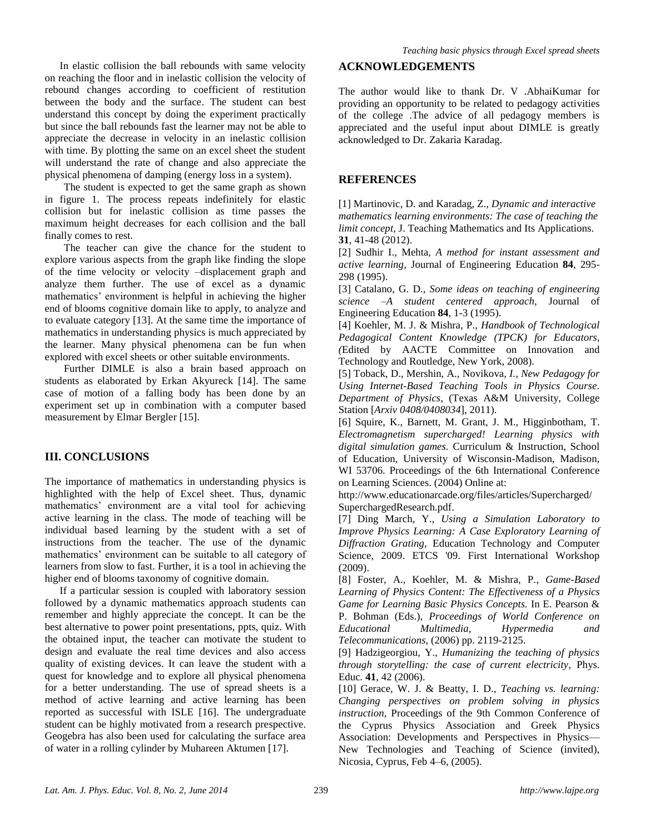In elastic collision the ball rebounds with same velocity on reaching the floor and in inelastic collision the velocity of rebound changes according to coefficient of restitution between the body and the surface. The student can best understand this concept by doing the experiment practically but since the ball rebounds fast the learner may not be able to appreciate the decrease in velocity in an inelastic collision with time. By plotting the same on an excel sheet the student will understand the rate of change and also appreciate the physical phenomena of damping (energy loss in a system).

The student is expected to get the same graph as shown in figure 1. The process repeats indefinitely for elastic collision but for inelastic collision as time passes the maximum height decreases for each collision and the ball finally comes to rest.

The teacher can give the chance for the student to explore various aspects from the graph like finding the slope of the time velocity or velocity –displacement graph and analyze them further. The use of excel as a dynamic mathematics' environment is helpful in achieving the higher end of blooms cognitive domain like to apply, to analyze and to evaluate category [13]. At the same time the importance of mathematics in understanding physics is much appreciated by the learner. Many physical phenomena can be fun when explored with excel sheets or other suitable environments.

Further DIMLE is also a brain based approach on students as elaborated by Erkan Akyureck [14]. The same case of motion of a falling body has been done by an experiment set up in combination with a computer based measurement by Elmar Bergler [15].

# **III. CONCLUSIONS**

The importance of mathematics in understanding physics is highlighted with the help of Excel sheet. Thus, dynamic mathematics' environment are a vital tool for achieving active learning in the class. The mode of teaching will be individual based learning by the student with a set of instructions from the teacher. The use of the dynamic mathematics' environment can be suitable to all category of learners from slow to fast. Further, it is a tool in achieving the higher end of blooms taxonomy of cognitive domain.

If a particular session is coupled with laboratory session followed by a dynamic mathematics approach students can remember and highly appreciate the concept. It can be the best alternative to power point presentations, ppts, quiz. With the obtained input, the teacher can motivate the student to design and evaluate the real time devices and also access quality of existing devices. It can leave the student with a quest for knowledge and to explore all physical phenomena for a better understanding. The use of spread sheets is a method of active learning and active learning has been reported as successful with ISLE [16]. The undergraduate student can be highly motivated from a research prespective. Geogebra has also been used for calculating the surface area of water in a rolling cylinder by Muhareen Aktumen [17].

# **ACKNOWLEDGEMENTS**

The author would like to thank Dr. V .AbhaiKumar for providing an opportunity to be related to pedagogy activities of the college .The advice of all pedagogy members is appreciated and the useful input about DIMLE is greatly acknowledged to Dr. Zakaria Karadag.

## **REFERENCES**

[1] Martinovic, D. and Karadag, Z., *Dynamic and interactive mathematics learning environments: The case of teaching the limit concept,* J. Teaching Mathematics and Its Applications. **31**, 41-48 (2012).

[2] Sudhir I., Mehta, *A method for instant assessment and active learning,* Journal of Engineering Education **84**, 295- 298 (1995).

[3] Catalano, G. D., *Some ideas on teaching of engineering science –A student centered approach*, Journal of Engineering Education **84**, 1-3 (1995).

[4] Koehler, M. J. & Mishra, P., *Handbook of Technological Pedagogical Content Knowledge (TPCK) for Educators, (*Edited by AACTE Committee on Innovation and Technology and Routledge, New York, 2008).

[5] Toback, D., Mershin, A., Novikova*, I., New Pedagogy for Using Internet-Based Teaching Tools in Physics Course. Department of Physics*, (Texas A&M University, College Station [*Arxiv 0408/0408034*], 2011).

[6] Squire, K., Barnett, M. Grant, J. M., Higginbotham, T. *Electromagnetism supercharged! Learning physics with digital simulation games.* Curriculum & Instruction, School of Education, University of Wisconsin-Madison, Madison, WI 53706. Proceedings of the 6th International Conference on Learning Sciences. (2004) Online at:

http://www.educationarcade.org/files/articles/Supercharged/ SuperchargedResearch.pdf.

[7] Ding March, Y., *Using a Simulation Laboratory to Improve Physics Learning: A Case Exploratory Learning of Diffraction Grating*, Education Technology and Computer Science, 2009. ETCS '09. First International Workshop (2009).

[8] Foster, A., Koehler, M. & Mishra, P., *Game-Based Learning of Physics Content: The Effectiveness of a Physics Game for Learning Basic Physics Concepts.* In E. Pearson & P. Bohman (Eds.), *Proceedings of World Conference on Educational Multimedia, Hypermedia and Telecommunications,* (2006) pp. 2119-2125.

[9] Hadzigeorgiou*,* Y., *Humanizing the teaching of physics through storytelling: the case of current electricity*, Phys. Educ*.* **41**, 42 (2006).

[10] Gerace, W. J. & Beatty, I. D., *Teaching vs. learning: Changing perspectives on problem solving in physics instruction*, Proceedings of the 9th Common Conference of the Cyprus Physics Association and Greek Physics Association: Developments and Perspectives in Physics— New Technologies and Teaching of Science (invited), Nicosia, Cyprus, Feb 4–6, (2005).